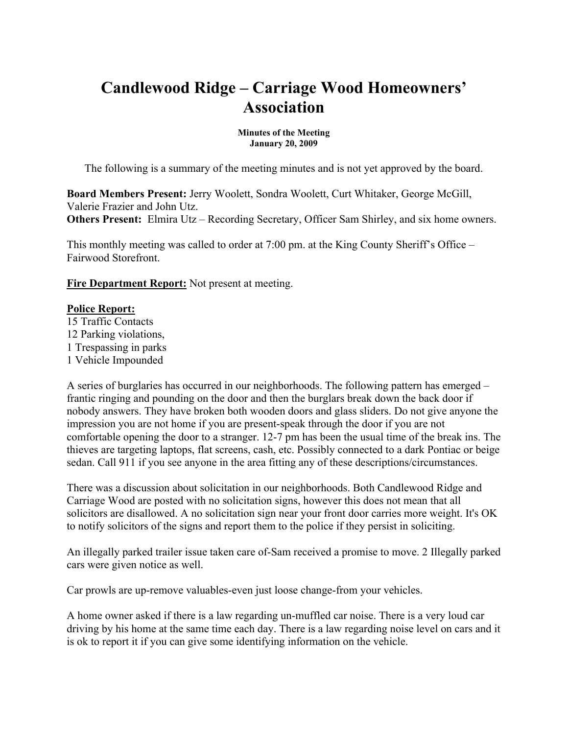# **Candlewood Ridge – Carriage Wood Homeowners' Association**

**Minutes of the Meeting January 20, 2009**

The following is a summary of the meeting minutes and is not yet approved by the board.

**Board Members Present:** Jerry Woolett, Sondra Woolett, Curt Whitaker, George McGill, Valerie Frazier and John Utz. **Others Present:** Elmira Utz – Recording Secretary, Officer Sam Shirley, and six home owners.

This monthly meeting was called to order at 7:00 pm. at the King County Sheriff's Office – Fairwood Storefront.

**Fire Department Report:** Not present at meeting.

#### **Police Report:**

15 Traffic Contacts 12 Parking violations, 1 Trespassing in parks 1 Vehicle Impounded

A series of burglaries has occurred in our neighborhoods. The following pattern has emerged – frantic ringing and pounding on the door and then the burglars break down the back door if nobody answers. They have broken both wooden doors and glass sliders. Do not give anyone the impression you are not home if you are present-speak through the door if you are not comfortable opening the door to a stranger. 12-7 pm has been the usual time of the break ins. The thieves are targeting laptops, flat screens, cash, etc. Possibly connected to a dark Pontiac or beige sedan. Call 911 if you see anyone in the area fitting any of these descriptions/circumstances.

There was a discussion about solicitation in our neighborhoods. Both Candlewood Ridge and Carriage Wood are posted with no solicitation signs, however this does not mean that all solicitors are disallowed. A no solicitation sign near your front door carries more weight. It's OK to notify solicitors of the signs and report them to the police if they persist in soliciting.

An illegally parked trailer issue taken care of-Sam received a promise to move. 2 Illegally parked cars were given notice as well.

Car prowls are up-remove valuables-even just loose change-from your vehicles.

A home owner asked if there is a law regarding un-muffled car noise. There is a very loud car driving by his home at the same time each day. There is a law regarding noise level on cars and it is ok to report it if you can give some identifying information on the vehicle.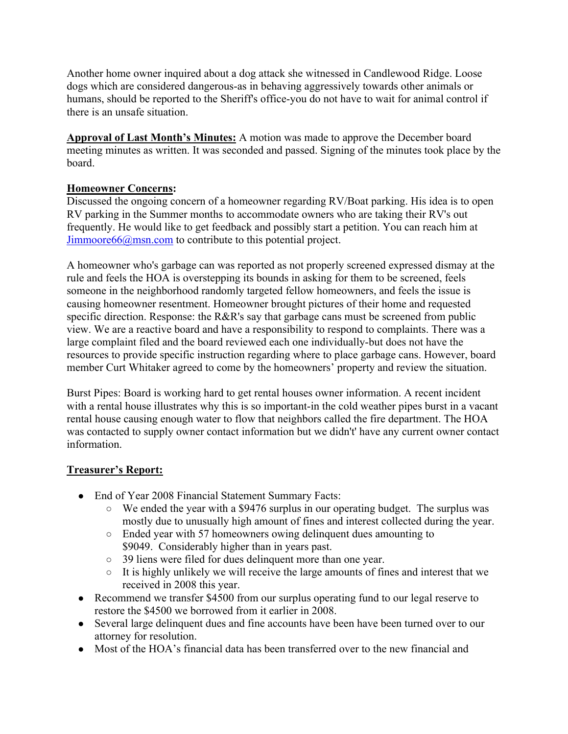Another home owner inquired about a dog attack she witnessed in Candlewood Ridge. Loose dogs which are considered dangerous-as in behaving aggressively towards other animals or humans, should be reported to the Sheriff's office-you do not have to wait for animal control if there is an unsafe situation.

**Approval of Last Month's Minutes:** A motion was made to approve the December board meeting minutes as written. It was seconded and passed. Signing of the minutes took place by the board.

#### **Homeowner Concerns:**

Discussed the ongoing concern of a homeowner regarding RV/Boat parking. His idea is to open RV parking in the Summer months to accommodate owners who are taking their RV's out frequently. He would like to get feedback and possibly start a petition. You can reach him at Jimmoore66@msn.com to contribute to this potential project.

A homeowner who's garbage can was reported as not properly screened expressed dismay at the rule and feels the HOA is overstepping its bounds in asking for them to be screened, feels someone in the neighborhood randomly targeted fellow homeowners, and feels the issue is causing homeowner resentment. Homeowner brought pictures of their home and requested specific direction. Response: the R&R's say that garbage cans must be screened from public view. We are a reactive board and have a responsibility to respond to complaints. There was a large complaint filed and the board reviewed each one individually-but does not have the resources to provide specific instruction regarding where to place garbage cans. However, board member Curt Whitaker agreed to come by the homeowners' property and review the situation.

Burst Pipes: Board is working hard to get rental houses owner information. A recent incident with a rental house illustrates why this is so important-in the cold weather pipes burst in a vacant rental house causing enough water to flow that neighbors called the fire department. The HOA was contacted to supply owner contact information but we didn't' have any current owner contact information.

#### **Treasurer's Report:**

- End of Year 2008 Financial Statement Summary Facts:
	- We ended the year with a \$9476 surplus in our operating budget. The surplus was mostly due to unusually high amount of fines and interest collected during the year.
	- Ended year with 57 homeowners owing delinquent dues amounting to \$9049. Considerably higher than in years past.
	- 39 liens were filed for dues delinquent more than one year.
	- It is highly unlikely we will receive the large amounts of fines and interest that we received in 2008 this year.
- Recommend we transfer \$4500 from our surplus operating fund to our legal reserve to restore the \$4500 we borrowed from it earlier in 2008.
- Several large delinquent dues and fine accounts have been have been turned over to our attorney for resolution.
- Most of the HOA's financial data has been transferred over to the new financial and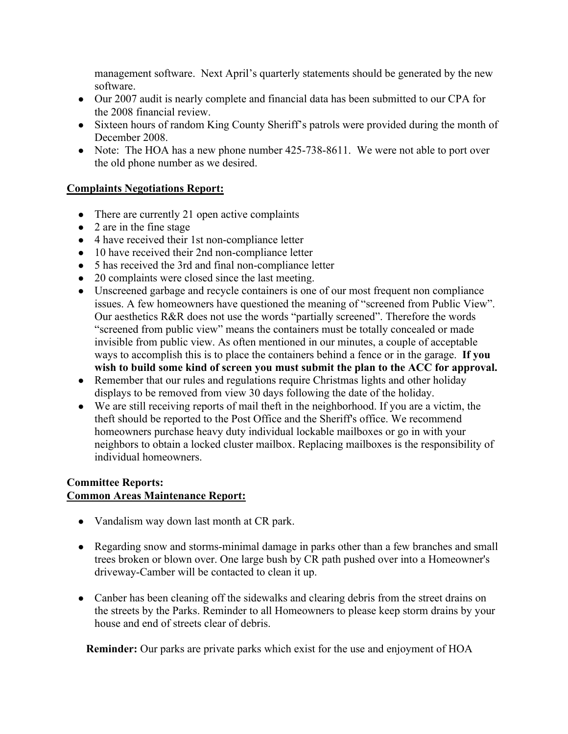management software. Next April's quarterly statements should be generated by the new software.

- Our 2007 audit is nearly complete and financial data has been submitted to our CPA for the 2008 financial review.
- Sixteen hours of random King County Sheriff's patrols were provided during the month of December 2008.
- Note: The HOA has a new phone number 425-738-8611. We were not able to port over the old phone number as we desired.

#### **Complaints Negotiations Report:**

- There are currently 21 open active complaints
- 2 are in the fine stage
- 4 have received their 1st non-compliance letter
- 10 have received their 2nd non-compliance letter
- 5 has received the 3rd and final non-compliance letter
- 20 complaints were closed since the last meeting.
- Unscreened garbage and recycle containers is one of our most frequent non compliance issues. A few homeowners have questioned the meaning of "screened from Public View". Our aesthetics R&R does not use the words "partially screened". Therefore the words "screened from public view" means the containers must be totally concealed or made invisible from public view. As often mentioned in our minutes, a couple of acceptable ways to accomplish this is to place the containers behind a fence or in the garage. **If you wish to build some kind of screen you must submit the plan to the ACC for approval.**
- Remember that our rules and regulations require Christmas lights and other holiday displays to be removed from view 30 days following the date of the holiday.
- We are still receiving reports of mail theft in the neighborhood. If you are a victim, the theft should be reported to the Post Office and the Sheriff's office. We recommend homeowners purchase heavy duty individual lockable mailboxes or go in with your neighbors to obtain a locked cluster mailbox. Replacing mailboxes is the responsibility of individual homeowners.

### **Committee Reports: Common Areas Maintenance Report:**

- Vandalism way down last month at CR park.
- Regarding snow and storms-minimal damage in parks other than a few branches and small trees broken or blown over. One large bush by CR path pushed over into a Homeowner's driveway-Camber will be contacted to clean it up.
- Canber has been cleaning off the sidewalks and clearing debris from the street drains on the streets by the Parks. Reminder to all Homeowners to please keep storm drains by your house and end of streets clear of debris.

**Reminder:** Our parks are private parks which exist for the use and enjoyment of HOA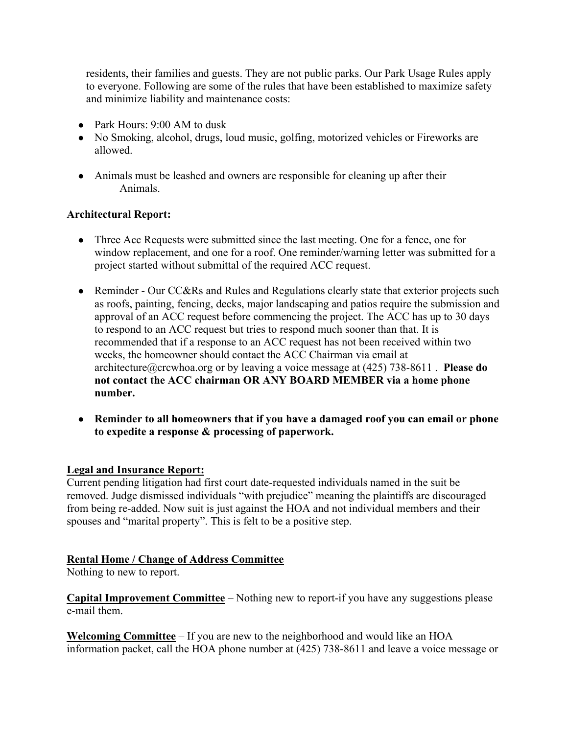residents, their families and guests. They are not public parks. Our Park Usage Rules apply to everyone. Following are some of the rules that have been established to maximize safety and minimize liability and maintenance costs:

- Park Hours: 9:00 AM to dusk
- No Smoking, alcohol, drugs, loud music, golfing, motorized vehicles or Fireworks are allowed.
- Animals must be leashed and owners are responsible for cleaning up after their Animals.

### **Architectural Report:**

- Three Acc Requests were submitted since the last meeting. One for a fence, one for window replacement, and one for a roof. One reminder/warning letter was submitted for a project started without submittal of the required ACC request.
- Reminder Our CC&Rs and Rules and Regulations clearly state that exterior projects such as roofs, painting, fencing, decks, major landscaping and patios require the submission and approval of an ACC request before commencing the project. The ACC has up to 30 days to respond to an ACC request but tries to respond much sooner than that. It is recommended that if a response to an ACC request has not been received within two weeks, the homeowner should contact the ACC Chairman via email at architecture@crcwhoa.org or by leaving a voice message at (425) 738-8611 . **Please do not contact the ACC chairman OR ANY BOARD MEMBER via a home phone number.**
- **Reminder to all homeowners that if you have a damaged roof you can email or phone to expedite a response & processing of paperwork.**

#### **Legal and Insurance Report:**

Current pending litigation had first court date-requested individuals named in the suit be removed. Judge dismissed individuals "with prejudice" meaning the plaintiffs are discouraged from being re-added. Now suit is just against the HOA and not individual members and their spouses and "marital property". This is felt to be a positive step.

#### **Rental Home / Change of Address Committee**

Nothing to new to report.

**Capital Improvement Committee** – Nothing new to report-if you have any suggestions please e-mail them.

**Welcoming Committee** – If you are new to the neighborhood and would like an HOA information packet, call the HOA phone number at (425) 738-8611 and leave a voice message or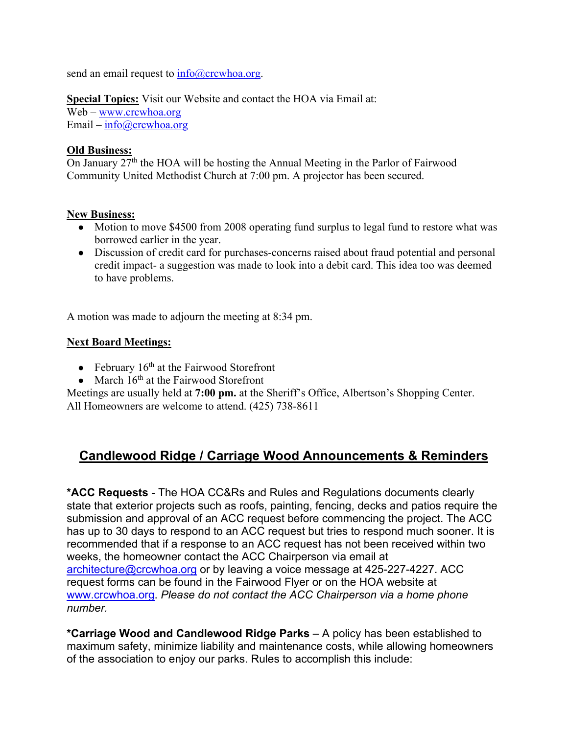send an email request to  $\frac{info(@)crcwhoa.org.$ 

**Special Topics:** Visit our Website and contact the HOA via Email at:

Web – www.crcwhoa.org Email –  $info@crcwhoa.org$ 

#### **Old Business:**

On January 27<sup>th</sup> the HOA will be hosting the Annual Meeting in the Parlor of Fairwood Community United Methodist Church at 7:00 pm. A projector has been secured.

#### **New Business:**

- Motion to move \$4500 from 2008 operating fund surplus to legal fund to restore what was borrowed earlier in the year.
- Discussion of credit card for purchases-concerns raised about fraud potential and personal credit impact- a suggestion was made to look into a debit card. This idea too was deemed to have problems.

A motion was made to adjourn the meeting at 8:34 pm.

### **Next Board Meetings:**

- February  $16<sup>th</sup>$  at the Fairwood Storefront
- March  $16<sup>th</sup>$  at the Fairwood Storefront

Meetings are usually held at **7:00 pm.** at the Sheriff's Office, Albertson's Shopping Center. All Homeowners are welcome to attend. (425) 738-8611

## **Candlewood Ridge / Carriage Wood Announcements & Reminders**

**\*ACC Requests** - The HOA CC&Rs and Rules and Regulations documents clearly state that exterior projects such as roofs, painting, fencing, decks and patios require the submission and approval of an ACC request before commencing the project. The ACC has up to 30 days to respond to an ACC request but tries to respond much sooner. It is recommended that if a response to an ACC request has not been received within two weeks, the homeowner contact the ACC Chairperson via email at architecture@crcwhoa.org or by leaving a voice message at 425-227-4227. ACC request forms can be found in the Fairwood Flyer or on the HOA website at www.crcwhoa.org. *Please do not contact the ACC Chairperson via a home phone number.*

**\*Carriage Wood and Candlewood Ridge Parks** – A policy has been established to maximum safety, minimize liability and maintenance costs, while allowing homeowners of the association to enjoy our parks. Rules to accomplish this include: